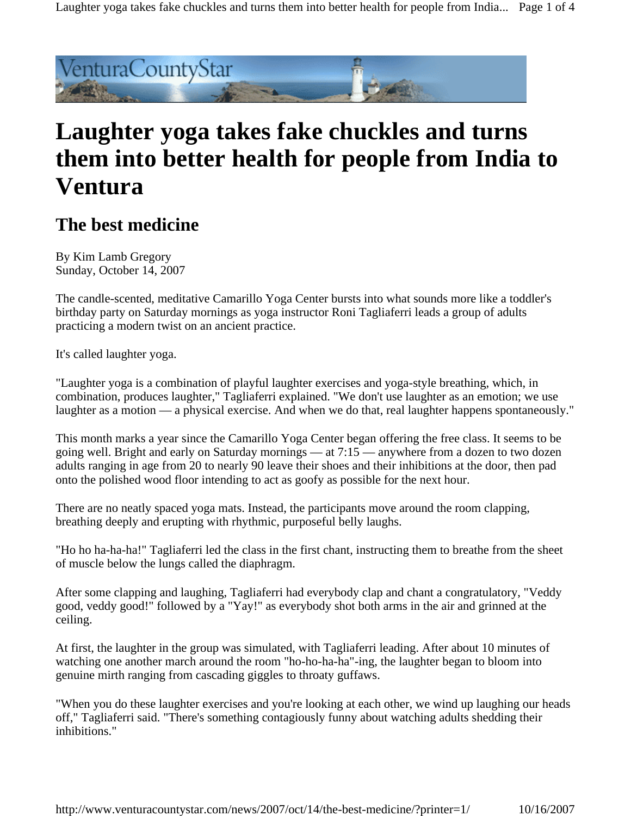Laughter yoga takes fake chuckles and turns them into better health for people from India... Page 1 of 4



# **Laughter yoga takes fake chuckles and turns them into better health for people from India to Ventura**

# **The best medicine**

By Kim Lamb Gregory Sunday, October 14, 2007

The candle-scented, meditative Camarillo Yoga Center bursts into what sounds more like a toddler's birthday party on Saturday mornings as yoga instructor Roni Tagliaferri leads a group of adults practicing a modern twist on an ancient practice.

It's called laughter yoga.

"Laughter yoga is a combination of playful laughter exercises and yoga-style breathing, which, in combination, produces laughter," Tagliaferri explained. "We don't use laughter as an emotion; we use laughter as a motion — a physical exercise. And when we do that, real laughter happens spontaneously."

This month marks a year since the Camarillo Yoga Center began offering the free class. It seems to be going well. Bright and early on Saturday mornings — at 7:15 — anywhere from a dozen to two dozen adults ranging in age from 20 to nearly 90 leave their shoes and their inhibitions at the door, then pad onto the polished wood floor intending to act as goofy as possible for the next hour.

There are no neatly spaced yoga mats. Instead, the participants move around the room clapping, breathing deeply and erupting with rhythmic, purposeful belly laughs.

"Ho ho ha-ha-ha!" Tagliaferri led the class in the first chant, instructing them to breathe from the sheet of muscle below the lungs called the diaphragm.

After some clapping and laughing, Tagliaferri had everybody clap and chant a congratulatory, "Veddy good, veddy good!" followed by a "Yay!" as everybody shot both arms in the air and grinned at the ceiling.

At first, the laughter in the group was simulated, with Tagliaferri leading. After about 10 minutes of watching one another march around the room "ho-ho-ha-ha"-ing, the laughter began to bloom into genuine mirth ranging from cascading giggles to throaty guffaws.

"When you do these laughter exercises and you're looking at each other, we wind up laughing our heads off," Tagliaferri said. "There's something contagiously funny about watching adults shedding their inhibitions."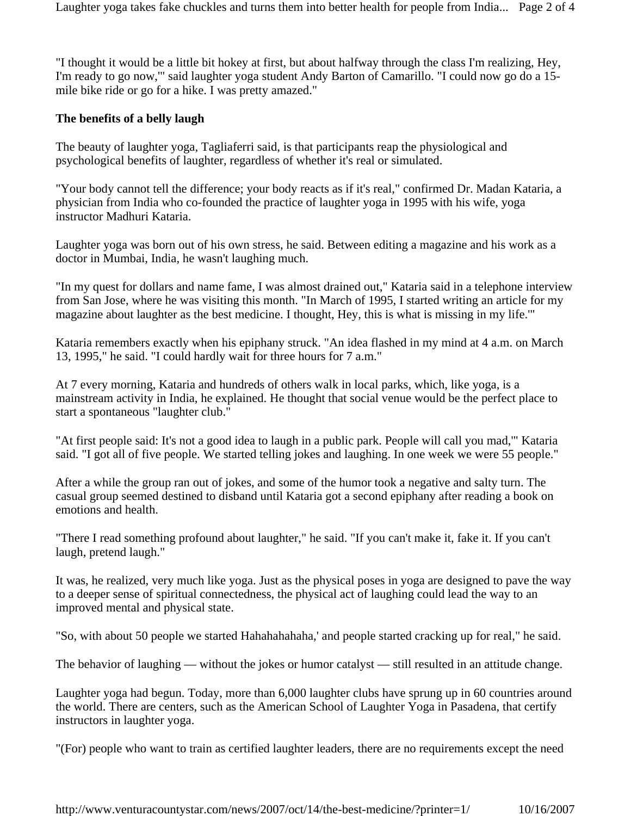Laughter yoga takes fake chuckles and turns them into better health for people from India... Page 2 of 4

"I thought it would be a little bit hokey at first, but about halfway through the class I'm realizing, Hey, I'm ready to go now,'" said laughter yoga student Andy Barton of Camarillo. "I could now go do a 15 mile bike ride or go for a hike. I was pretty amazed."

#### **The benefits of a belly laugh**

The beauty of laughter yoga, Tagliaferri said, is that participants reap the physiological and psychological benefits of laughter, regardless of whether it's real or simulated.

"Your body cannot tell the difference; your body reacts as if it's real," confirmed Dr. Madan Kataria, a physician from India who co-founded the practice of laughter yoga in 1995 with his wife, yoga instructor Madhuri Kataria.

Laughter yoga was born out of his own stress, he said. Between editing a magazine and his work as a doctor in Mumbai, India, he wasn't laughing much.

"In my quest for dollars and name fame, I was almost drained out," Kataria said in a telephone interview from San Jose, where he was visiting this month. "In March of 1995, I started writing an article for my magazine about laughter as the best medicine. I thought, Hey, this is what is missing in my life.'"

Kataria remembers exactly when his epiphany struck. "An idea flashed in my mind at 4 a.m. on March 13, 1995," he said. "I could hardly wait for three hours for 7 a.m."

At 7 every morning, Kataria and hundreds of others walk in local parks, which, like yoga, is a mainstream activity in India, he explained. He thought that social venue would be the perfect place to start a spontaneous "laughter club."

"At first people said: It's not a good idea to laugh in a public park. People will call you mad,'" Kataria said. "I got all of five people. We started telling jokes and laughing. In one week we were 55 people."

After a while the group ran out of jokes, and some of the humor took a negative and salty turn. The casual group seemed destined to disband until Kataria got a second epiphany after reading a book on emotions and health.

"There I read something profound about laughter," he said. "If you can't make it, fake it. If you can't laugh, pretend laugh."

It was, he realized, very much like yoga. Just as the physical poses in yoga are designed to pave the way to a deeper sense of spiritual connectedness, the physical act of laughing could lead the way to an improved mental and physical state.

"So, with about 50 people we started Hahahahahaha,' and people started cracking up for real," he said.

The behavior of laughing — without the jokes or humor catalyst — still resulted in an attitude change.

Laughter yoga had begun. Today, more than 6,000 laughter clubs have sprung up in 60 countries around the world. There are centers, such as the American School of Laughter Yoga in Pasadena, that certify instructors in laughter yoga.

"(For) people who want to train as certified laughter leaders, there are no requirements except the need

http://www.venturacountystar.com/news/2007/oct/14/the-best-medicine/?printer=1/ 10/16/2007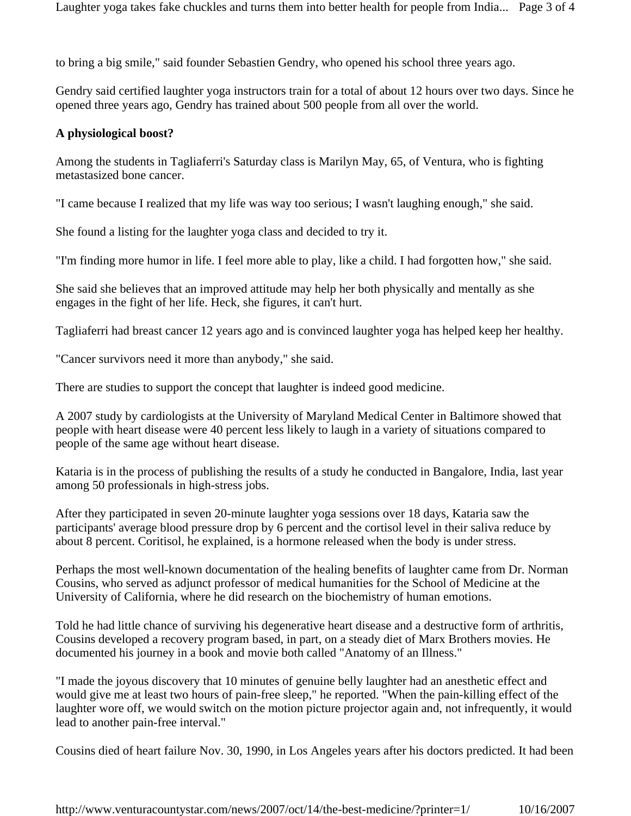to bring a big smile," said founder Sebastien Gendry, who opened his school three years ago.

Gendry said certified laughter yoga instructors train for a total of about 12 hours over two days. Since he opened three years ago, Gendry has trained about 500 people from all over the world.

### **A physiological boost?**

Among the students in Tagliaferri's Saturday class is Marilyn May, 65, of Ventura, who is fighting metastasized bone cancer.

"I came because I realized that my life was way too serious; I wasn't laughing enough," she said.

She found a listing for the laughter yoga class and decided to try it.

"I'm finding more humor in life. I feel more able to play, like a child. I had forgotten how," she said.

She said she believes that an improved attitude may help her both physically and mentally as she engages in the fight of her life. Heck, she figures, it can't hurt.

Tagliaferri had breast cancer 12 years ago and is convinced laughter yoga has helped keep her healthy.

"Cancer survivors need it more than anybody," she said.

There are studies to support the concept that laughter is indeed good medicine.

A 2007 study by cardiologists at the University of Maryland Medical Center in Baltimore showed that people with heart disease were 40 percent less likely to laugh in a variety of situations compared to people of the same age without heart disease.

Kataria is in the process of publishing the results of a study he conducted in Bangalore, India, last year among 50 professionals in high-stress jobs.

After they participated in seven 20-minute laughter yoga sessions over 18 days, Kataria saw the participants' average blood pressure drop by 6 percent and the cortisol level in their saliva reduce by about 8 percent. Coritisol, he explained, is a hormone released when the body is under stress.

Perhaps the most well-known documentation of the healing benefits of laughter came from Dr. Norman Cousins, who served as adjunct professor of medical humanities for the School of Medicine at the University of California, where he did research on the biochemistry of human emotions.

Told he had little chance of surviving his degenerative heart disease and a destructive form of arthritis, Cousins developed a recovery program based, in part, on a steady diet of Marx Brothers movies. He documented his journey in a book and movie both called "Anatomy of an Illness."

"I made the joyous discovery that 10 minutes of genuine belly laughter had an anesthetic effect and would give me at least two hours of pain-free sleep," he reported. "When the pain-killing effect of the laughter wore off, we would switch on the motion picture projector again and, not infrequently, it would lead to another pain-free interval."

Cousins died of heart failure Nov. 30, 1990, in Los Angeles years after his doctors predicted. It had been